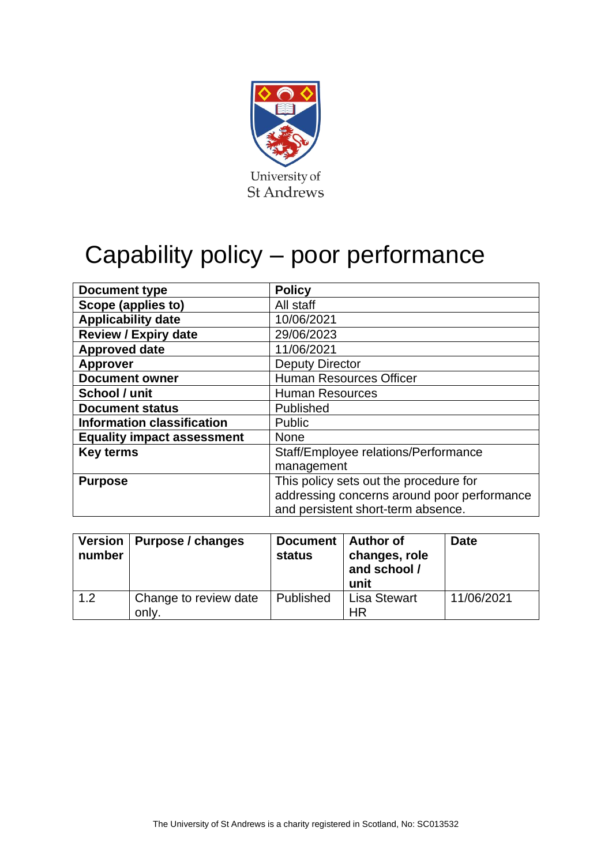

# Capability policy – poor performance

| Document type                     | <b>Policy</b>                               |
|-----------------------------------|---------------------------------------------|
| Scope (applies to)                | All staff                                   |
| <b>Applicability date</b>         | 10/06/2021                                  |
| <b>Review / Expiry date</b>       | 29/06/2023                                  |
| <b>Approved date</b>              | 11/06/2021                                  |
| <b>Approver</b>                   | <b>Deputy Director</b>                      |
| <b>Document owner</b>             | <b>Human Resources Officer</b>              |
| School / unit                     | <b>Human Resources</b>                      |
| <b>Document status</b>            | Published                                   |
| <b>Information classification</b> | Public                                      |
| <b>Equality impact assessment</b> | <b>None</b>                                 |
| <b>Key terms</b>                  | Staff/Employee relations/Performance        |
|                                   | management                                  |
| <b>Purpose</b>                    | This policy sets out the procedure for      |
|                                   | addressing concerns around poor performance |
|                                   | and persistent short-term absence.          |

| Version  <br>number | Purpose / changes              | Document   Author of<br><b>status</b> | changes, role<br>and school /<br>unit | <b>Date</b> |
|---------------------|--------------------------------|---------------------------------------|---------------------------------------|-------------|
| 1.2                 | Change to review date<br>only. | Published                             | <b>Lisa Stewart</b><br>HR             | 11/06/2021  |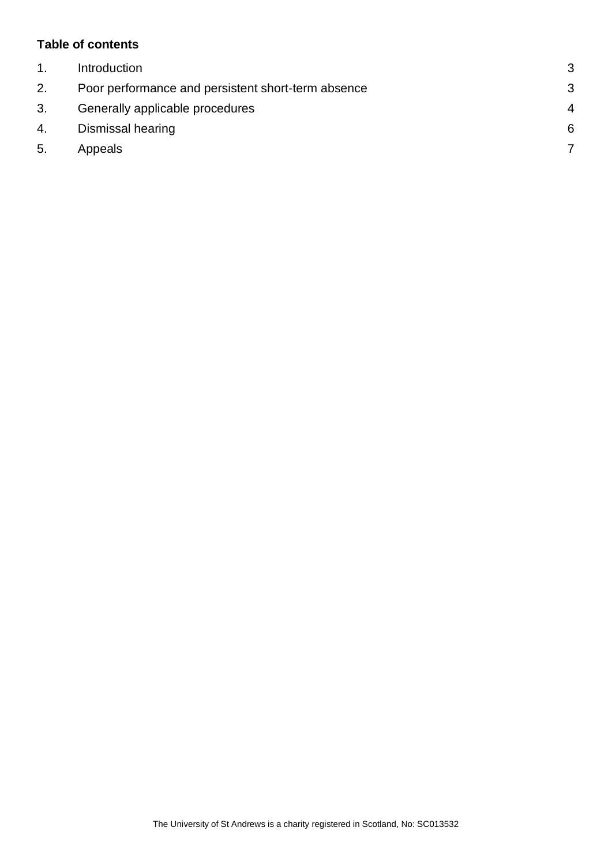### **Table of contents**

|    | Introduction                                       | 3              |
|----|----------------------------------------------------|----------------|
| 2. | Poor performance and persistent short-term absence | 3              |
| 3. | Generally applicable procedures                    | $\overline{A}$ |
| 4. | Dismissal hearing                                  | 6              |
| 5. | Appeals                                            |                |
|    |                                                    |                |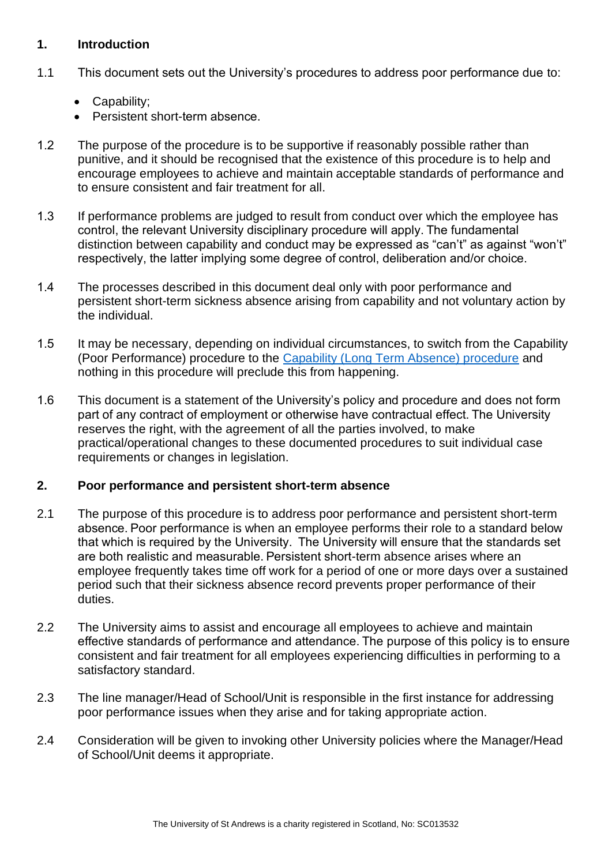#### <span id="page-2-0"></span>**1. Introduction**

- 1.1 This document sets out the University's procedures to address poor performance due to:
	- Capability;
	- Persistent short-term absence.
- 1.2       The purpose of the procedure is to be supportive if reasonably possible rather than punitive, and it should be recognised that the existence of this procedure is to help and encourage employees to achieve and maintain acceptable standards of performance and to ensure consistent and fair treatment for all.
- 1.3      If performance problems are judged to result from conduct over which the employee has control, the relevant University disciplinary procedure will apply. The fundamental distinction between capability and conduct may be expressed as "can't" as against "won't" respectively, the latter implying some degree of control, deliberation and/or choice.
- 1.4     The processes described in this document deal only with poor performance and persistent short-term sickness absence arising from capability and not voluntary action by the individual.
- 1.5       It may be necessary, depending on individual circumstances, to switch from the Capability (Poor Performance) procedure to the [Capability \(Long Term Absence\) procedure](https://www.st-andrews.ac.uk/policy/staff-employee-relations-ill-health/internal/capability-policy-for-long-term-absence.pdf) and nothing in this procedure will preclude this from happening.
- 1.6       This document is a statement of the University's policy and procedure and does not form part of any contract of employment or otherwise have contractual effect. The University reserves the right, with the agreement of all the parties involved, to make practical/operational changes to these documented procedures to suit individual case requirements or changes in legislation.

# <span id="page-2-1"></span>**2. Poor performance and persistent short-term absence**

- 2.1 The purpose of this procedure is to address poor performance and persistent short-term absence. Poor performance is when an employee performs their role to a standard below that which is required by the University.  The University will ensure that the standards set are both realistic and measurable. Persistent short-term absence arises where an employee frequently takes time off work for a period of one or more days over a sustained period such that their sickness absence record prevents proper performance of their duties.
- 2.2 The University aims to assist and encourage all employees to achieve and maintain effective standards of performance and attendance. The purpose of this policy is to ensure consistent and fair treatment for all employees experiencing difficulties in performing to a satisfactory standard.
- 2.3 The line manager/Head of School/Unit is responsible in the first instance for addressing poor performance issues when they arise and for taking appropriate action.
- 2.4 Consideration will be given to invoking other University policies where the Manager/Head of School/Unit deems it appropriate.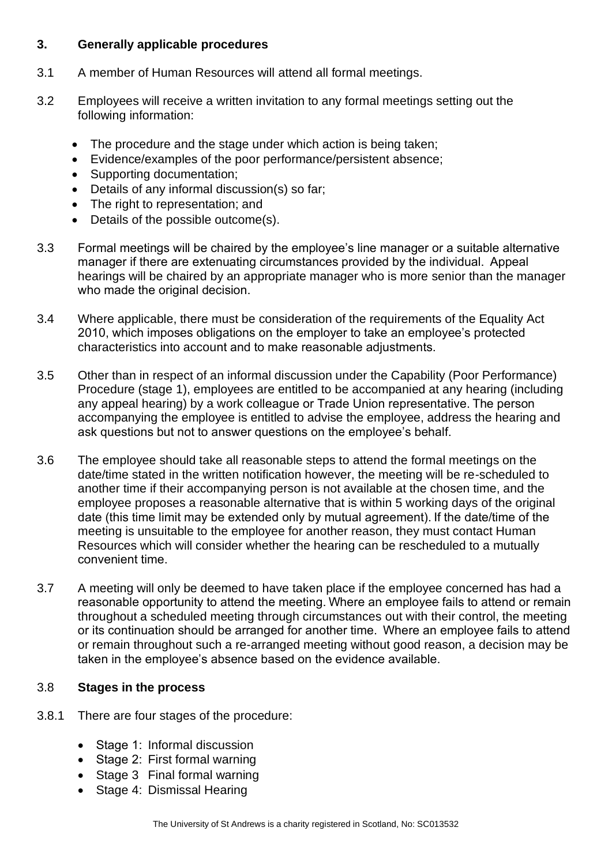### <span id="page-3-0"></span>**3. Generally applicable procedures**

- 3.1 A member of Human Resources will attend all formal meetings.
- 3.2 Employees will receive a written invitation to any formal meetings setting out the following information:
	- The procedure and the stage under which action is being taken;
	- Evidence/examples of the poor performance/persistent absence;
	- Supporting documentation;
	- Details of any informal discussion(s) so far;
	- The right to representation; and
	- Details of the possible outcome(s).
- 3.3 Formal meetings will be chaired by the employee's line manager or a suitable alternative manager if there are extenuating circumstances provided by the individual.  Appeal hearings will be chaired by an appropriate manager who is more senior than the manager who made the original decision.
- 3.4 Where applicable, there must be consideration of the requirements of the Equality Act 2010, which imposes obligations on the employer to take an employee's protected characteristics into account and to make reasonable adjustments.
- 3.5 Other than in respect of an informal discussion under the Capability (Poor Performance) Procedure (stage 1), employees are entitled to be accompanied at any hearing (including any appeal hearing) by a work colleague or Trade Union representative. The person accompanying the employee is entitled to advise the employee, address the hearing and ask questions but not to answer questions on the employee's behalf.
- 3.6 The employee should take all reasonable steps to attend the formal meetings on the date/time stated in the written notification however, the meeting will be re-scheduled to another time if their accompanying person is not available at the chosen time, and the employee proposes a reasonable alternative that is within 5 working days of the original date (this time limit may be extended only by mutual agreement). If the date/time of the meeting is unsuitable to the employee for another reason, they must contact Human Resources which will consider whether the hearing can be rescheduled to a mutually convenient time.
- 3.7 A meeting will only be deemed to have taken place if the employee concerned has had a reasonable opportunity to attend the meeting. Where an employee fails to attend or remain throughout a scheduled meeting through circumstances out with their control, the meeting or its continuation should be arranged for another time.  Where an employee fails to attend or remain throughout such a re-arranged meeting without good reason, a decision may be taken in the employee's absence based on the evidence available.

# 3.8 **Stages in the process**

- 3.8.1 There are four stages of the procedure:
	- Stage 1: Informal discussion
	- Stage 2:  First formal warning
	- Stage 3 Final formal warning
	- Stage 4: Dismissal Hearing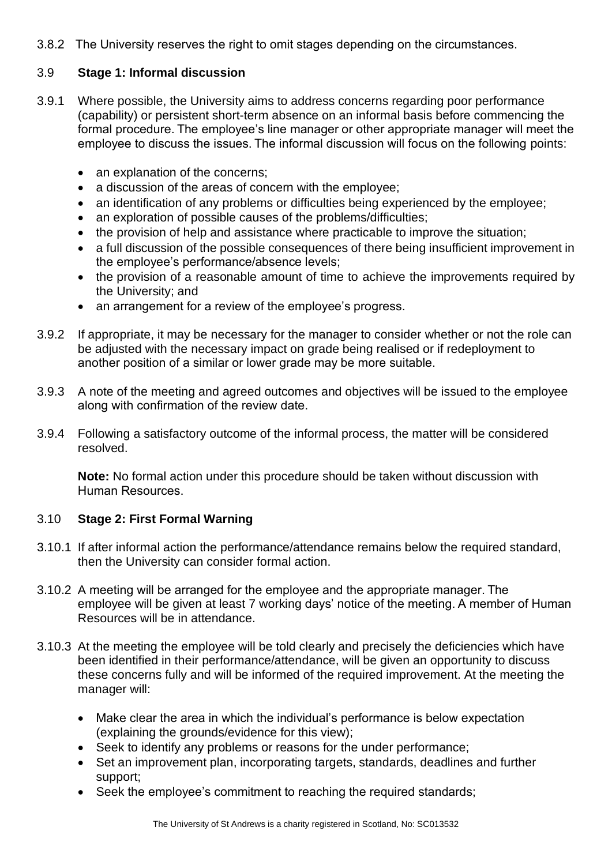3.8.2    The University reserves the right to omit stages depending on the circumstances. 

### 3.9 **Stage 1: Informal discussion**

- 3.9.1 Where possible, the University aims to address concerns regarding poor performance (capability) or persistent short-term absence on an informal basis before commencing the formal procedure. The employee's line manager or other appropriate manager will meet the employee to discuss the issues. The informal discussion will focus on the following points:
	- an explanation of the concerns;
	- a discussion of the areas of concern with the employee;
	- an identification of any problems or difficulties being experienced by the employee;
	- an exploration of possible causes of the problems/difficulties;
	- the provision of help and assistance where practicable to improve the situation;
	- a full discussion of the possible consequences of there being insufficient improvement in the employee's performance/absence levels;
	- the provision of a reasonable amount of time to achieve the improvements required by the University; and
	- an arrangement for a review of the employee's progress.
- 3.9.2 If appropriate, it may be necessary for the manager to consider whether or not the role can be adjusted with the necessary impact on grade being realised or if redeployment to another position of a similar or lower grade may be more suitable.
- 3.9.3 A note of the meeting and agreed outcomes and objectives will be issued to the employee along with confirmation of the review date.
- 3.9.4 Following a satisfactory outcome of the informal process, the matter will be considered resolved.

**Note:** No formal action under this procedure should be taken without discussion with Human Resources. 

# 3.10 **Stage 2: First Formal Warning**

- 3.10.1 If after informal action the performance/attendance remains below the required standard, then the University can consider formal action.
- 3.10.2 A meeting will be arranged for the employee and the appropriate manager. The employee will be given at least 7 working days' notice of the meeting. A member of Human Resources will be in attendance.
- 3.10.3 At the meeting the employee will be told clearly and precisely the deficiencies which have been identified in their performance/attendance, will be given an opportunity to discuss these concerns fully and will be informed of the required improvement. At the meeting the manager will:
	- Make clear the area in which the individual's performance is below expectation (explaining the grounds/evidence for this view);
	- Seek to identify any problems or reasons for the under performance;
	- Set an improvement plan, incorporating targets, standards, deadlines and further support;
	- Seek the employee's commitment to reaching the required standards;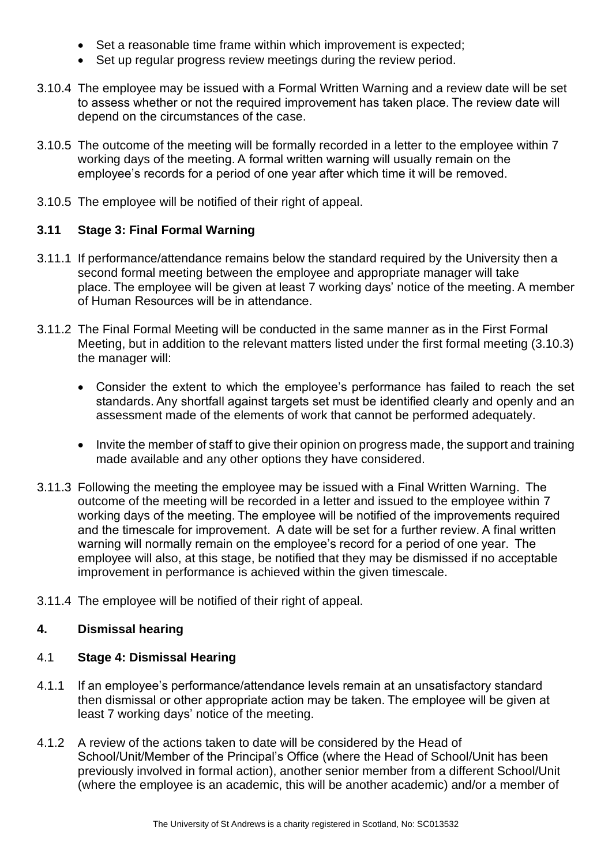- Set a reasonable time frame within which improvement is expected;
- Set up regular progress review meetings during the review period.
- 3.10.4 The employee may be issued with a Formal Written Warning and a review date will be set to assess whether or not the required improvement has taken place. The review date will depend on the circumstances of the case.
- 3.10.5 The outcome of the meeting will be formally recorded in a letter to the employee within 7 working days of the meeting. A formal written warning will usually remain on the employee's records for a period of one year after which time it will be removed.
- 3.10.5 The employee will be notified of their right of appeal.

# **3.11 Stage 3: Final Formal Warning**

- 3.11.1 If performance/attendance remains below the standard required by the University then a second formal meeting between the employee and appropriate manager will take place. The employee will be given at least 7 working days' notice of the meeting. A member of Human Resources will be in attendance.
- 3.11.2 The Final Formal Meeting will be conducted in the same manner as in the First Formal Meeting, but in addition to the relevant matters listed under the first formal meeting (3.10.3) the manager will:
	- Consider the extent to which the employee's performance has failed to reach the set standards. Any shortfall against targets set must be identified clearly and openly and an assessment made of the elements of work that cannot be performed adequately.
	- Invite the member of staff to give their opinion on progress made, the support and training made available and any other options they have considered.
- 3.11.3 Following the meeting the employee may be issued with a Final Written Warning.  The outcome of the meeting will be recorded in a letter and issued to the employee within 7 working days of the meeting. The employee will be notified of the improvements required and the timescale for improvement.  A date will be set for a further review. A final written warning will normally remain on the employee's record for a period of one year.  The employee will also, at this stage, be notified that they may be dismissed if no acceptable improvement in performance is achieved within the given timescale.
- 3.11.4 The employee will be notified of their right of appeal.

# <span id="page-5-0"></span>**4. Dismissal hearing**

#### 4.1 **Stage 4: Dismissal Hearing**

- 4.1.1 If an employee's performance/attendance levels remain at an unsatisfactory standard then dismissal or other appropriate action may be taken. The employee will be given at least 7 working days' notice of the meeting.
- 4.1.2 A review of the actions taken to date will be considered by the Head of School/Unit/Member of the Principal's Office (where the Head of School/Unit has been previously involved in formal action), another senior member from a different School/Unit (where the employee is an academic, this will be another academic) and/or a member of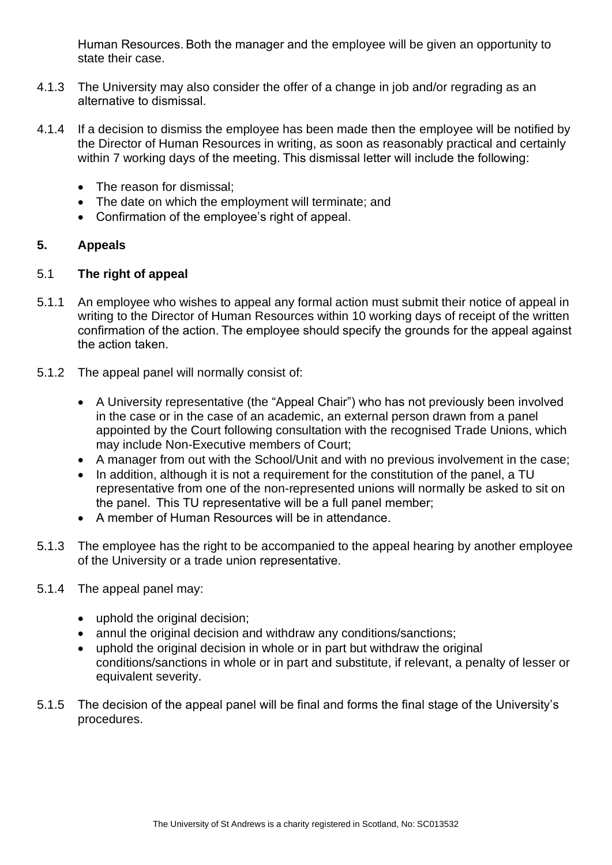Human Resources. Both the manager and the employee will be given an opportunity to state their case.

- 4.1.3 The University may also consider the offer of a change in job and/or regrading as an alternative to dismissal.
- 4.1.4 If a decision to dismiss the employee has been made then the employee will be notified by the Director of Human Resources in writing, as soon as reasonably practical and certainly within 7 working days of the meeting. This dismissal letter will include the following:
	- The reason for dismissal:
	- The date on which the employment will terminate; and
	- Confirmation of the employee's right of appeal.

# <span id="page-6-0"></span>**5. Appeals**

### 5.1 **The right of appeal**

- 5.1.1 An employee who wishes to appeal any formal action must submit their notice of appeal in writing to the Director of Human Resources within 10 working days of receipt of the written confirmation of the action. The employee should specify the grounds for the appeal against the action taken.
- 5.1.2 The appeal panel will normally consist of:
	- A University representative (the "Appeal Chair") who has not previously been involved in the case or in the case of an academic, an external person drawn from a panel appointed by the Court following consultation with the recognised Trade Unions, which may include Non-Executive members of Court;
	- A manager from out with the School/Unit and with no previous involvement in the case;
	- In addition, although it is not a requirement for the constitution of the panel, a TU representative from one of the non-represented unions will normally be asked to sit on the panel.  This TU representative will be a full panel member;
	- A member of Human Resources will be in attendance.
- 5.1.3 The employee has the right to be accompanied to the appeal hearing by another employee of the University or a trade union representative.
- 5.1.4 The appeal panel may:
	- uphold the original decision;
	- annul the original decision and withdraw any conditions/sanctions;
	- uphold the original decision in whole or in part but withdraw the original conditions/sanctions in whole or in part and substitute, if relevant, a penalty of lesser or equivalent severity.
- 5.1.5 The decision of the appeal panel will be final and forms the final stage of the University's procedures.